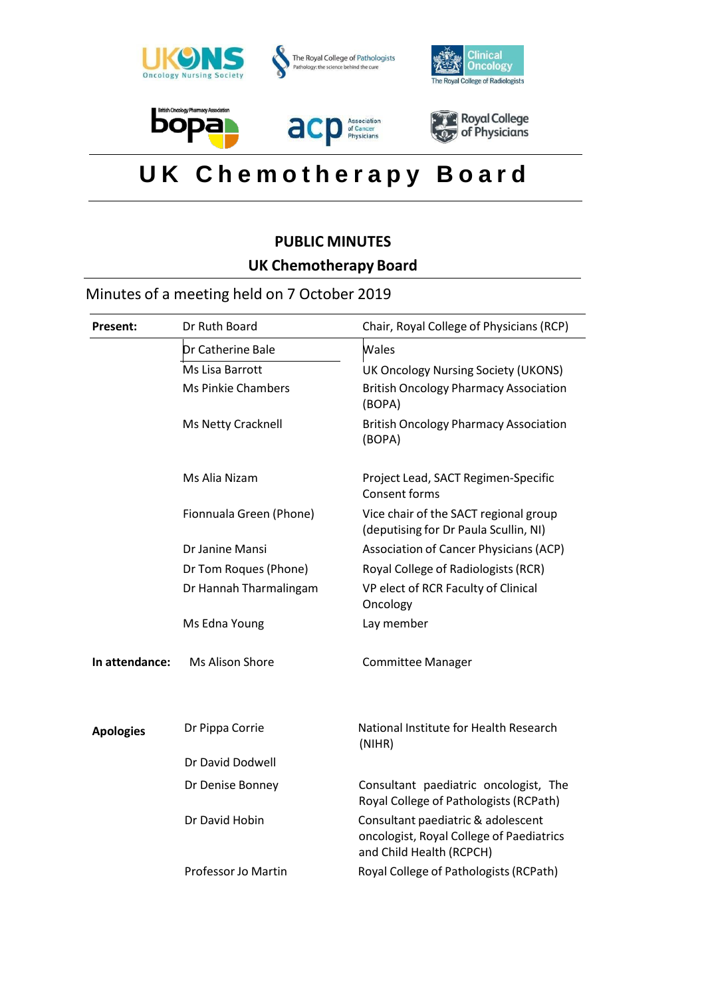

# **U K C h e m o t h e r a p y B o a r d**

# **PUBLIC MINUTES UK Chemotherapy Board**

# Minutes of a meeting held on 7 October 2019

| <b>Present:</b>  | Dr Ruth Board             | Chair, Royal College of Physicians (RCP)                                                                   |
|------------------|---------------------------|------------------------------------------------------------------------------------------------------------|
|                  | Dr Catherine Bale         | Wales                                                                                                      |
|                  | Ms Lisa Barrott           | UK Oncology Nursing Society (UKONS)                                                                        |
|                  | <b>Ms Pinkie Chambers</b> | <b>British Oncology Pharmacy Association</b><br>(BOPA)                                                     |
|                  | Ms Netty Cracknell        | <b>British Oncology Pharmacy Association</b><br>(BOPA)                                                     |
|                  | Ms Alia Nizam             | Project Lead, SACT Regimen-Specific<br>Consent forms                                                       |
|                  | Fionnuala Green (Phone)   | Vice chair of the SACT regional group<br>(deputising for Dr Paula Scullin, NI)                             |
|                  | Dr Janine Mansi           | Association of Cancer Physicians (ACP)                                                                     |
|                  | Dr Tom Roques (Phone)     | Royal College of Radiologists (RCR)                                                                        |
|                  | Dr Hannah Tharmalingam    | VP elect of RCR Faculty of Clinical<br>Oncology                                                            |
|                  | Ms Edna Young             | Lay member                                                                                                 |
| In attendance:   | Ms Alison Shore           | <b>Committee Manager</b>                                                                                   |
| <b>Apologies</b> | Dr Pippa Corrie           | National Institute for Health Research<br>(NIHR)                                                           |
|                  | Dr David Dodwell          |                                                                                                            |
|                  | Dr Denise Bonney          | Consultant paediatric oncologist, The<br>Royal College of Pathologists (RCPath)                            |
|                  | Dr David Hobin            | Consultant paediatric & adolescent<br>oncologist, Royal College of Paediatrics<br>and Child Health (RCPCH) |
|                  | Professor Jo Martin       | Royal College of Pathologists (RCPath)                                                                     |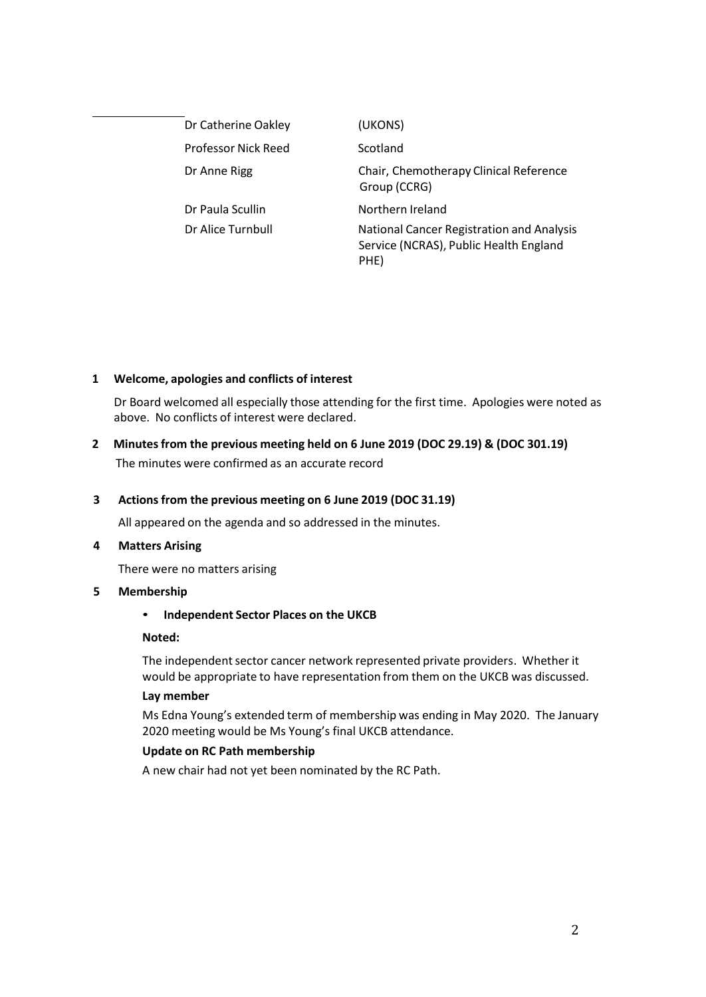| Dr Catherine Oakley | (UKONS)                                                                                     |
|---------------------|---------------------------------------------------------------------------------------------|
| Professor Nick Reed | Scotland                                                                                    |
| Dr Anne Rigg        | Chair, Chemotherapy Clinical Reference<br>Group (CCRG)                                      |
| Dr Paula Scullin    | Northern Ireland                                                                            |
| Dr Alice Turnbull   | National Cancer Registration and Analysis<br>Service (NCRAS), Public Health England<br>PHE) |

# **1 Welcome, apologies and conflicts of interest**

Dr Board welcomed all especially those attending for the first time. Apologies were noted as above. No conflicts of interest were declared.

**2 Minutesfrom the previous meeting held on 6 June 2019 (DOC 29.19) & (DOC 301.19)** The minutes were confirmed as an accurate record

#### **3 Actionsfrom the previous meeting on 6 June 2019 (DOC 31.19)**

All appeared on the agenda and so addressed in the minutes.

#### **4 Matters Arising**

There were no matters arising

#### **5 Membership**

#### • **Independent Sector Places on the UKCB**

#### **Noted:**

The independent sector cancer network represented private providers. Whether it would be appropriate to have representation from them on the UKCB was discussed.

#### **Lay member**

Ms Edna Young's extended term of membership was ending in May 2020. The January 2020 meeting would be Ms Young's final UKCB attendance.

#### **Update on RC Path membership**

A new chair had not yet been nominated by the RC Path.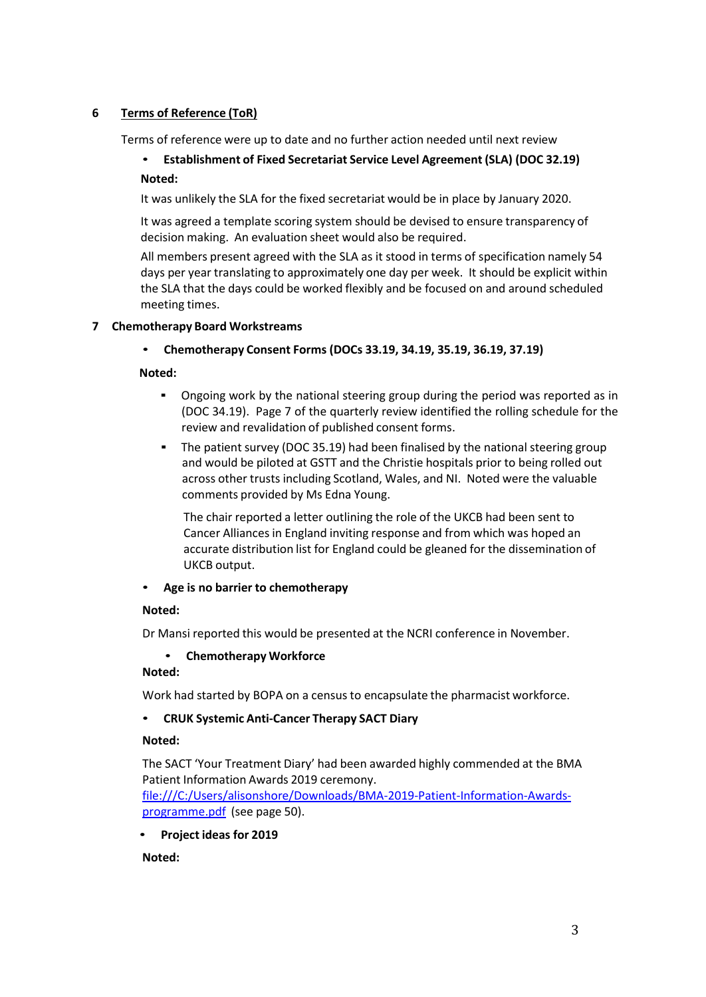# **6 Terms of Reference (ToR)**

Terms of reference were up to date and no further action needed until next review

# • **Establishment of Fixed Secretariat Service Level Agreement (SLA) (DOC 32.19) Noted:**

It was unlikely the SLA for the fixed secretariat would be in place by January 2020.

It was agreed a template scoring system should be devised to ensure transparency of decision making. An evaluation sheet would also be required.

All members present agreed with the SLA as it stood in terms of specification namely 54 days per year translating to approximately one day per week. It should be explicit within the SLA that the days could be worked flexibly and be focused on and around scheduled meeting times.

#### **7 Chemotherapy Board Workstreams**

# • **Chemotherapy Consent Forms (DOCs 33.19, 34.19, 35.19, 36.19, 37.19)**

#### **Noted:**

- Ongoing work by the national steering group during the period was reported as in (DOC 34.19). Page 7 of the quarterly review identified the rolling schedule for the review and revalidation of published consent forms.
- **•** The patient survey (DOC 35.19) had been finalised by the national steering group and would be piloted at GSTT and the Christie hospitals prior to being rolled out across other trusts including Scotland, Wales, and NI. Noted were the valuable comments provided by Ms Edna Young.

The chair reported a letter outlining the role of the UKCB had been sent to Cancer Alliances in England inviting response and from which was hoped an accurate distribution list for England could be gleaned for the dissemination of UKCB output.

# • **Age is no barrier to chemotherapy**

#### **Noted:**

Dr Mansi reported this would be presented at the NCRI conference in November.

# • **Chemotherapy Workforce**

#### **Noted:**

Work had started by BOPA on a census to encapsulate the pharmacist workforce.

# • **CRUK Systemic Anti-Cancer Therapy SACT Diary**

#### **Noted:**

The SACT 'Your Treatment Diary' had been awarded highly commended at the BMA Patient Information Awards 2019 ceremony.

[file:///C:/Users/alisonshore/Downloads/BMA-2019-Patient-Information-Awards](file:///C:/Users/alisonshore/Downloads/BMA-2019-Patient-Information-Awards-programme.pdf)[programme.pdf](file:///C:/Users/alisonshore/Downloads/BMA-2019-Patient-Information-Awards-programme.pdf) (see page 50).

• **Project ideas for 2019**

# **Noted:**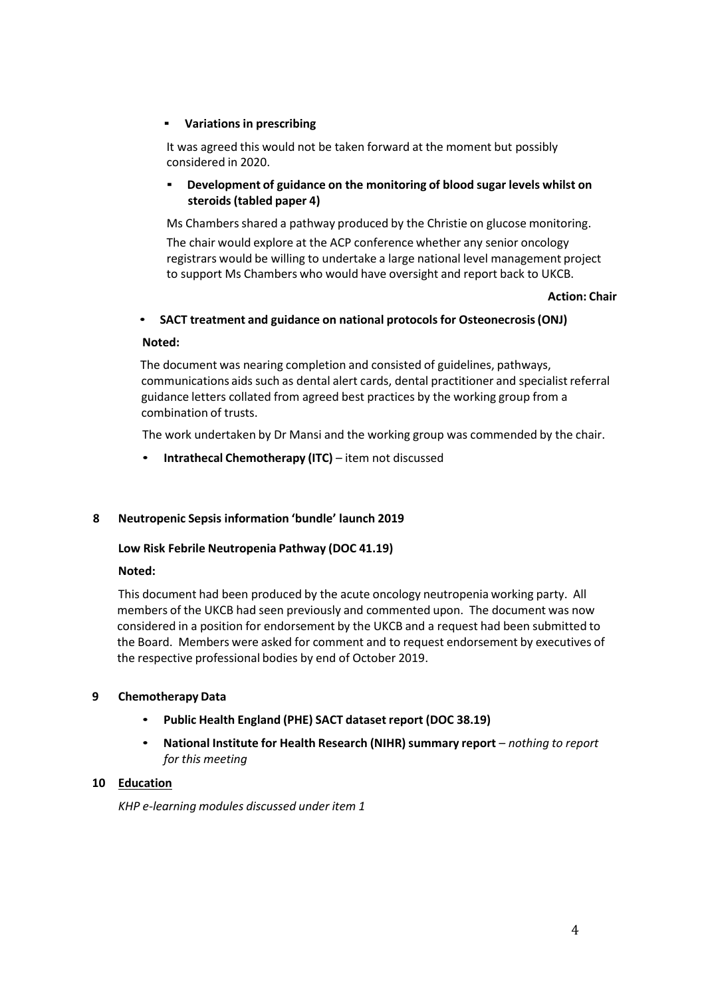#### ▪ **Variationsin prescribing**

It was agreed this would not be taken forward at the moment but possibly considered in 2020.

# ▪ **Development of guidance on the monitoring of blood sugar levels whilst on steroids(tabled paper 4)**

Ms Chambers shared a pathway produced by the Christie on glucose monitoring.

The chair would explore at the ACP conference whether any senior oncology registrars would be willing to undertake a large national level management project to support Ms Chambers who would have oversight and report back to UKCB.

#### **Action: Chair**

#### • **SACT treatment and guidance on national protocolsfor Osteonecrosis(ONJ)**

#### **Noted:**

The document was nearing completion and consisted of guidelines, pathways, communications aids such as dental alert cards, dental practitioner and specialist referral guidance letters collated from agreed best practices by the working group from a combination of trusts.

The work undertaken by Dr Mansi and the working group was commended by the chair.

• **Intrathecal Chemotherapy (ITC)** – item not discussed

#### **8 Neutropenic Sepsis information 'bundle' launch 2019**

#### **Low Risk Febrile Neutropenia Pathway (DOC 41.19)**

#### **Noted:**

This document had been produced by the acute oncology neutropenia working party. All members of the UKCB had seen previously and commented upon. The document was now considered in a position for endorsement by the UKCB and a request had been submitted to the Board. Members were asked for comment and to request endorsement by executives of the respective professional bodies by end of October 2019.

#### **9 Chemotherapy Data**

- **Public Health England (PHE) SACT dataset report (DOC 38.19)**
- **National Institute for Health Research (NIHR)summary report** *– nothing to report for this meeting*

#### **10 Education**

*KHP e-learning modules discussed under item 1*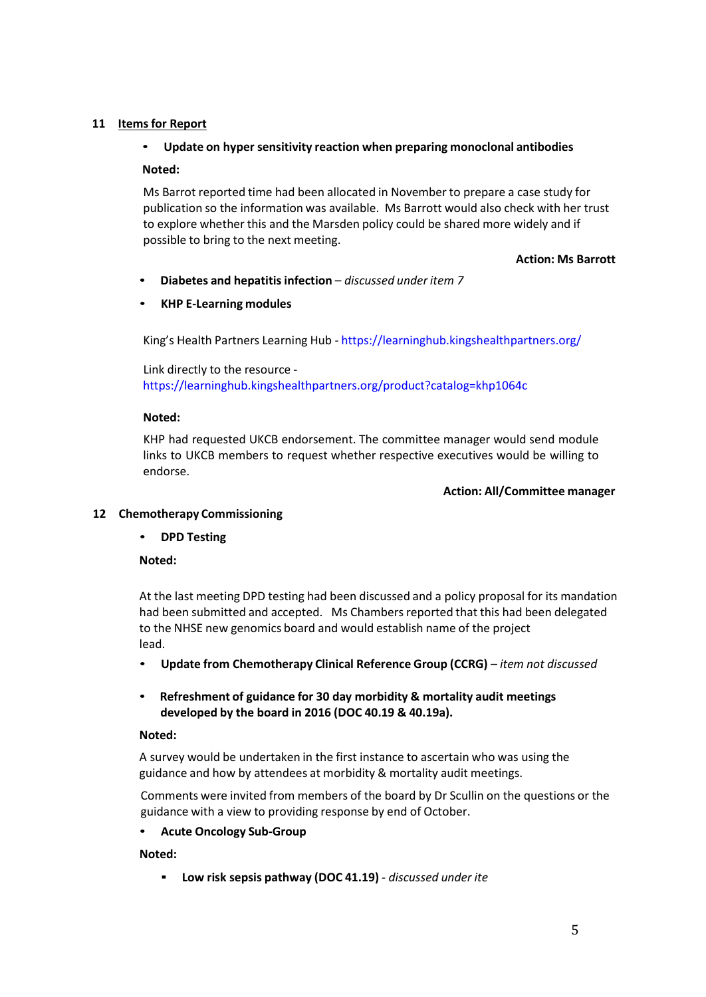### **11 Itemsfor Report**

# • **Update on hyper sensitivity reaction when preparing monoclonal antibodies**

#### **Noted:**

Ms Barrot reported time had been allocated in November to prepare a case study for publication so the information was available. Ms Barrott would also check with her trust to explore whether this and the Marsden policy could be shared more widely and if possible to bring to the next meeting.

#### **Action: Ms Barrott**

• **Diabetes and hepatitisinfection** *– discussed under item 7*

#### • **KHP E-Learning modules**

King's Health Partners Learning Hub - [https://learninghub.kingshealthpartners.org/](https://protect-eu.mimecast.com/s/Jl3VCWnmjSQZRrtOxKgT?domain=scanmail.trustwave.com)

Link directly to the resource [https://learninghub.kingshealthpartners.org/product?catalog=khp1064c](https://protect-eu.mimecast.com/s/fFkRCY60lHvmEVTQxz6G?domain=scanmail.trustwave.com)

#### **Noted:**

KHP had requested UKCB endorsement. The committee manager would send module links to UKCB members to request whether respective executives would be willing to endorse.

#### **Action: All/Committee manager**

# **12 Chemotherapy Commissioning**

#### • **DPD Testing**

#### **Noted:**

At the last meeting DPD testing had been discussed and a policy proposal for its mandation had been submitted and accepted. Ms Chambers reported that this had been delegated to the NHSE new genomics board and would establish name of the project lead.

- **Update from Chemotherapy Clinical Reference Group (CCRG)** *– item not discussed*
- **Refreshment of guidance for 30 day morbidity & mortality audit meetings developed by the board in 2016 (DOC 40.19 & 40.19a).**

#### **Noted:**

A survey would be undertaken in the first instance to ascertain who was using the guidance and how by attendees at morbidity & mortality audit meetings.

Comments were invited from members of the board by Dr Scullin on the questions or the guidance with a view to providing response by end of October.

#### • **Acute Oncology Sub-Group**

#### **Noted:**

▪ **Low risk sepsis pathway (DOC 41.19)** *- discussed under ite*